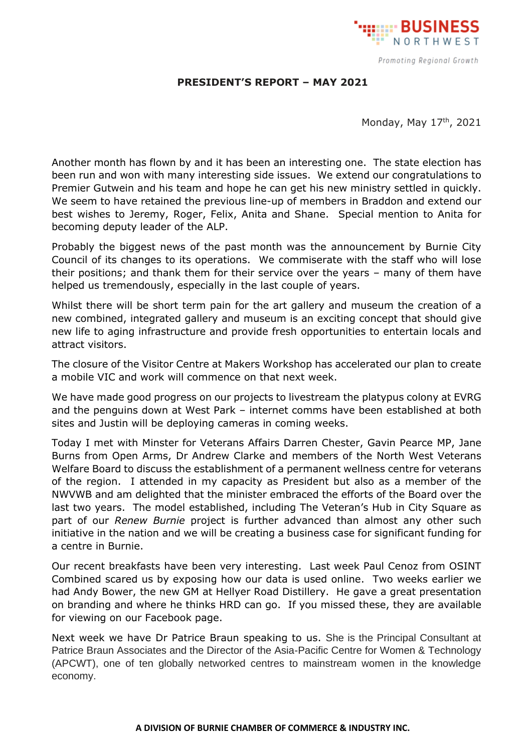

## **PRESIDENT'S REPORT – MAY 2021**

Monday, May 17<sup>th</sup>, 2021

Another month has flown by and it has been an interesting one. The state election has been run and won with many interesting side issues. We extend our congratulations to Premier Gutwein and his team and hope he can get his new ministry settled in quickly. We seem to have retained the previous line-up of members in Braddon and extend our best wishes to Jeremy, Roger, Felix, Anita and Shane. Special mention to Anita for becoming deputy leader of the ALP.

Probably the biggest news of the past month was the announcement by Burnie City Council of its changes to its operations. We commiserate with the staff who will lose their positions; and thank them for their service over the years – many of them have helped us tremendously, especially in the last couple of years.

Whilst there will be short term pain for the art gallery and museum the creation of a new combined, integrated gallery and museum is an exciting concept that should give new life to aging infrastructure and provide fresh opportunities to entertain locals and attract visitors.

The closure of the Visitor Centre at Makers Workshop has accelerated our plan to create a mobile VIC and work will commence on that next week.

We have made good progress on our projects to livestream the platypus colony at EVRG and the penguins down at West Park – internet comms have been established at both sites and Justin will be deploying cameras in coming weeks.

Today I met with Minster for Veterans Affairs Darren Chester, Gavin Pearce MP, Jane Burns from Open Arms, Dr Andrew Clarke and members of the North West Veterans Welfare Board to discuss the establishment of a permanent wellness centre for veterans of the region. I attended in my capacity as President but also as a member of the NWVWB and am delighted that the minister embraced the efforts of the Board over the last two years. The model established, including The Veteran's Hub in City Square as part of our *Renew Burnie* project is further advanced than almost any other such initiative in the nation and we will be creating a business case for significant funding for a centre in Burnie.

Our recent breakfasts have been very interesting. Last week Paul Cenoz from OSINT Combined scared us by exposing how our data is used online. Two weeks earlier we had Andy Bower, the new GM at Hellyer Road Distillery. He gave a great presentation on branding and where he thinks HRD can go. If you missed these, they are available for viewing on our Facebook page.

Next week we have Dr Patrice Braun speaking to us. She is the Principal Consultant at Patrice Braun Associates and the Director of the Asia-Pacific Centre for Women & Technology (APCWT), one of ten globally networked centres to mainstream women in the knowledge economy.